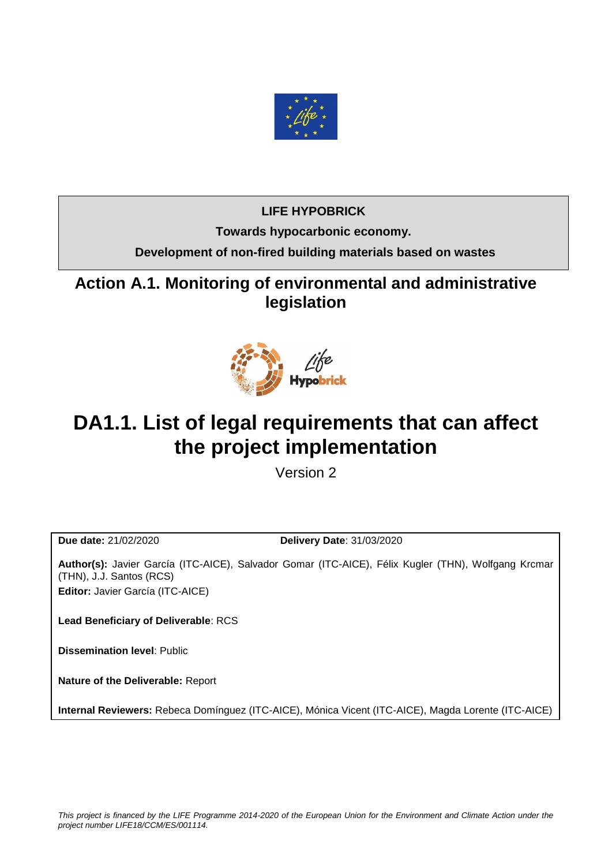

## **LIFE HYPOBRICK**

**Towards hypocarbonic economy.**

**Development of non-fired building materials based on wastes**

**Action A.1. Monitoring of environmental and administrative legislation**



# **DA1.1. List of legal requirements that can affect the project implementation**

Version 2

**Due date:** 21/02/2020 **Delivery Date**: 31/03/2020

**Author(s):** Javier García (ITC-AICE), Salvador Gomar (ITC-AICE), Félix Kugler (THN), Wolfgang Krcmar (THN), J.J. Santos (RCS) **Editor:** Javier García (ITC-AICE)

**Lead Beneficiary of Deliverable**: RCS

**Dissemination level**: Public

**Nature of the Deliverable:** Report

**Internal Reviewers:** Rebeca Domínguez (ITC-AICE), Mónica Vicent (ITC-AICE), Magda Lorente (ITC-AICE)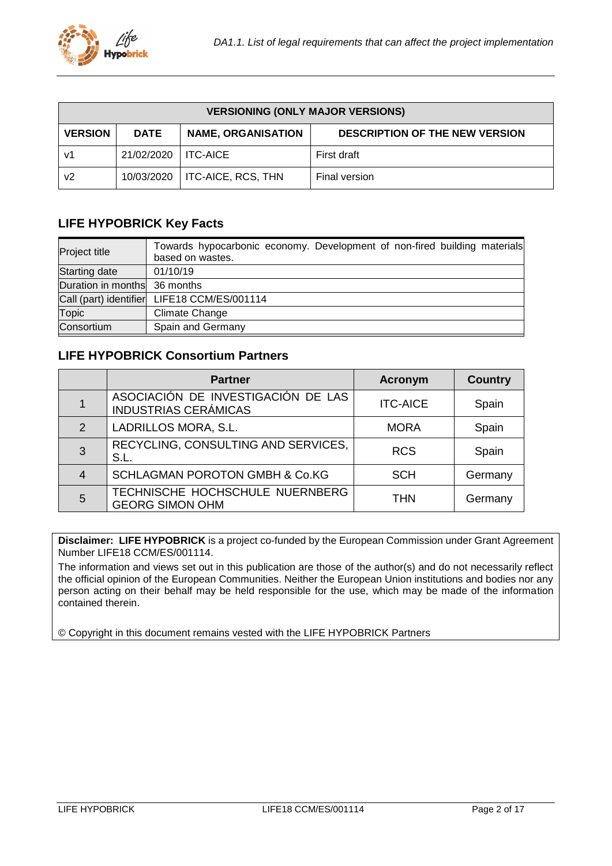| <b>VERSIONING (ONLY MAJOR VERSIONS)</b> |             |                           |                                       |  |  |
|-----------------------------------------|-------------|---------------------------|---------------------------------------|--|--|
| <b>VERSION</b>                          | <b>DATE</b> | <b>NAME, ORGANISATION</b> | <b>DESCRIPTION OF THE NEW VERSION</b> |  |  |
| v1                                      | 21/02/2020  | I ITC-AICE                | First draft                           |  |  |
| v2                                      | 10/03/2020  | ITC-AICE, RCS, THN        | Final version                         |  |  |

## <span id="page-1-0"></span>**LIFE HYPOBRICK Key Facts**

| <b>Project title</b>         | Towards hypocarbonic economy. Development of non-fired building materials<br>based on wastes. |
|------------------------------|-----------------------------------------------------------------------------------------------|
| Starting date                | 01/10/19                                                                                      |
| Duration in months 36 months |                                                                                               |
|                              | Call (part) identifier LIFE18 CCM/ES/001114                                                   |
| <b>Topic</b>                 | Climate Change                                                                                |
| Consortium                   | Spain and Germany                                                                             |

## <span id="page-1-1"></span>**LIFE HYPOBRICK Consortium Partners**

|                | <b>Partner</b>                                                    | <b>Acronym</b>  | <b>Country</b> |
|----------------|-------------------------------------------------------------------|-----------------|----------------|
|                | ASOCIACIÓN DE INVESTIGACIÓN DE LAS<br><b>INDUSTRIAS CERÁMICAS</b> | <b>ITC-AICE</b> | Spain          |
| 2              | LADRILLOS MORA, S.L.                                              | <b>MORA</b>     | Spain          |
| 3              | RECYCLING, CONSULTING AND SERVICES,<br>S.L.                       | <b>RCS</b>      | Spain          |
| $\overline{4}$ | SCHLAGMAN POROTON GMBH & Co.KG                                    | <b>SCH</b>      | Germany        |
| 5              | TECHNISCHE HOCHSCHULE NUERNBERG<br><b>GEORG SIMON OHM</b>         | <b>THN</b>      | Germany        |

**Disclaimer: LIFE HYPOBRICK** is a project co-funded by the European Commission under Grant Agreement Number LIFE18 CCM/ES/001114.

The information and views set out in this publication are those of the author(s) and do not necessarily reflect the official opinion of the European Communities. Neither the European Union institutions and bodies nor any person acting on their behalf may be held responsible for the use, which may be made of the information contained therein.

© Copyright in this document remains vested with the LIFE HYPOBRICK Partners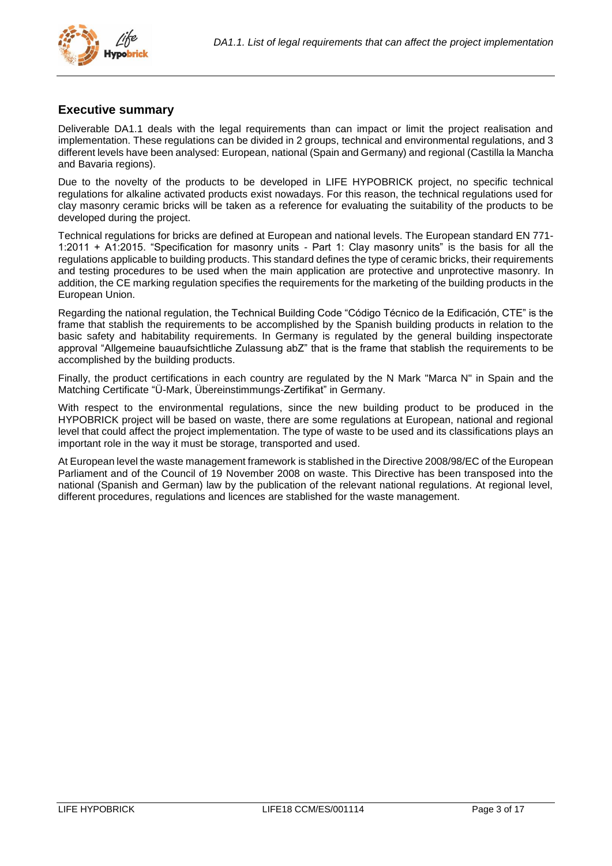

## <span id="page-2-0"></span>**Executive summary**

Deliverable DA1.1 deals with the legal requirements than can impact or limit the project realisation and implementation. These regulations can be divided in 2 groups, technical and environmental regulations, and 3 different levels have been analysed: European, national (Spain and Germany) and regional (Castilla la Mancha and Bavaria regions).

Due to the novelty of the products to be developed in LIFE HYPOBRICK project, no specific technical regulations for alkaline activated products exist nowadays. For this reason, the technical regulations used for clay masonry ceramic bricks will be taken as a reference for evaluating the suitability of the products to be developed during the project.

Technical regulations for bricks are defined at European and national levels. The European standard EN 771- 1:2011 + A1:2015. "Specification for masonry units - Part 1: Clay masonry units" is the basis for all the regulations applicable to building products. This standard defines the type of ceramic bricks, their requirements and testing procedures to be used when the main application are protective and unprotective masonry. In addition, the CE marking regulation specifies the requirements for the marketing of the building products in the European Union.

Regarding the national regulation, the Technical Building Code "Código Técnico de la Edificación, CTE" is the frame that stablish the requirements to be accomplished by the Spanish building products in relation to the basic safety and habitability requirements. In Germany is regulated by the general building inspectorate approval "Allgemeine bauaufsichtliche Zulassung abZ" that is the frame that stablish the requirements to be accomplished by the building products.

Finally, the product certifications in each country are regulated by the N Mark "Marca N" in Spain and the Matching Certificate "Ü-Mark, Übereinstimmungs-Zertifikat" in Germany.

With respect to the environmental regulations, since the new building product to be produced in the HYPOBRICK project will be based on waste, there are some regulations at European, national and regional level that could affect the project implementation. The type of waste to be used and its classifications plays an important role in the way it must be storage, transported and used.

At European level the waste management framework is stablished in the Directive 2008/98/EC of the European Parliament and of the Council of 19 November 2008 on waste. This Directive has been transposed into the national (Spanish and German) law by the publication of the relevant national regulations. At regional level, different procedures, regulations and licences are stablished for the waste management.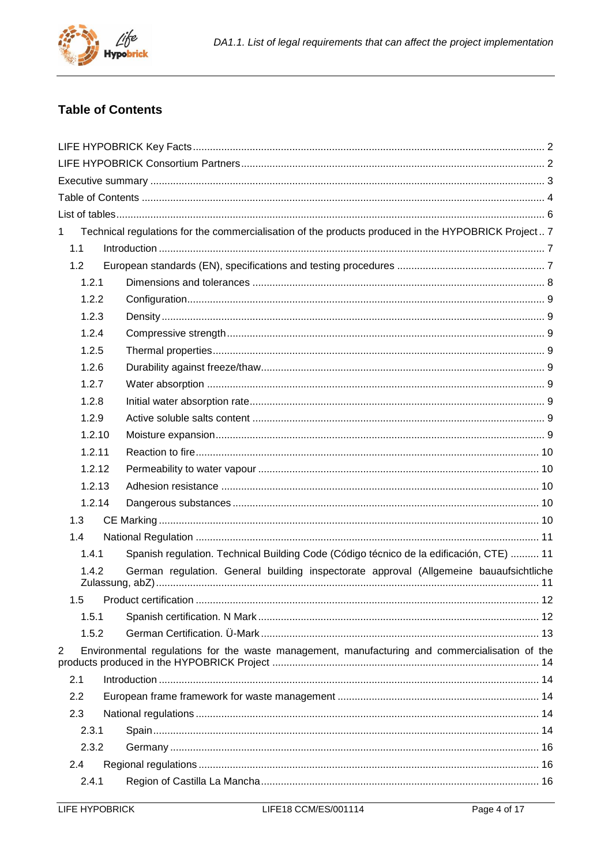

## <span id="page-3-0"></span>**Table of Contents**

| $\mathbf 1$ | Technical regulations for the commercialisation of the products produced in the HYPOBRICK Project 7 |  |
|-------------|-----------------------------------------------------------------------------------------------------|--|
| 1.1         |                                                                                                     |  |
| 1.2         |                                                                                                     |  |
| 1.2.1       |                                                                                                     |  |
| 1.2.2       |                                                                                                     |  |
| 1.2.3       |                                                                                                     |  |
| 1.2.4       |                                                                                                     |  |
| 1.2.5       |                                                                                                     |  |
| 1.2.6       |                                                                                                     |  |
| 1.2.7       |                                                                                                     |  |
| 1.2.8       |                                                                                                     |  |
| 1.2.9       |                                                                                                     |  |
| 1.2.10      |                                                                                                     |  |
| 1.2.11      |                                                                                                     |  |
| 1.2.12      |                                                                                                     |  |
| 1.2.13      |                                                                                                     |  |
| 1.2.14      |                                                                                                     |  |
| 1.3         |                                                                                                     |  |
| 1.4         |                                                                                                     |  |
| 1.4.1       | Spanish regulation. Technical Building Code (Código técnico de la edificación, CTE)  11             |  |
| 1.4.2       | German regulation. General building inspectorate approval (Allgemeine bauaufsichtliche              |  |
|             |                                                                                                     |  |
| 1.5.1       |                                                                                                     |  |
| 1.5.2       |                                                                                                     |  |
| 2           | Environmental regulations for the waste management, manufacturing and commercialisation of the      |  |
| 2.1         |                                                                                                     |  |
| 2.2         |                                                                                                     |  |
| 2.3         |                                                                                                     |  |
| 2.3.1       |                                                                                                     |  |
| 2.3.2       |                                                                                                     |  |
| 2.4         |                                                                                                     |  |
| 2.4.1       |                                                                                                     |  |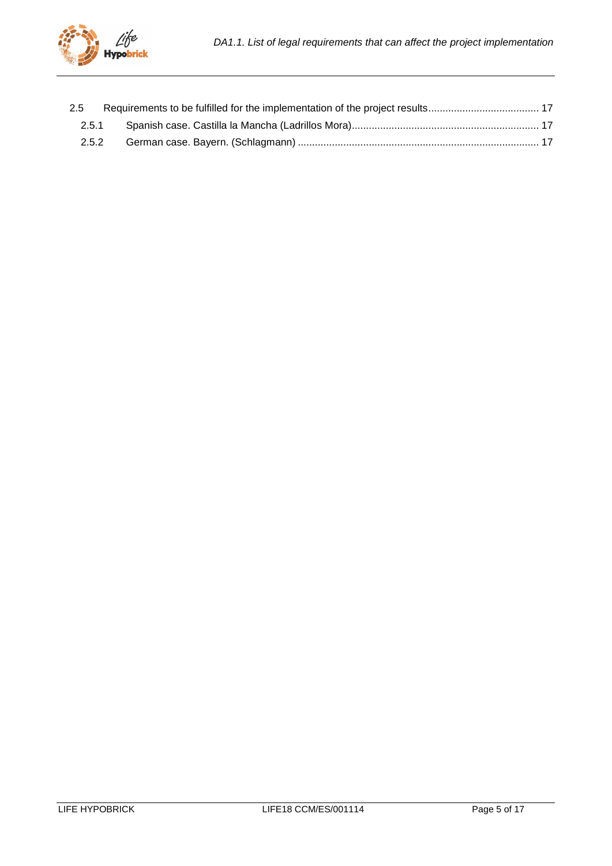| 2.5   |  |
|-------|--|
| 2.5.1 |  |
| 2.5.2 |  |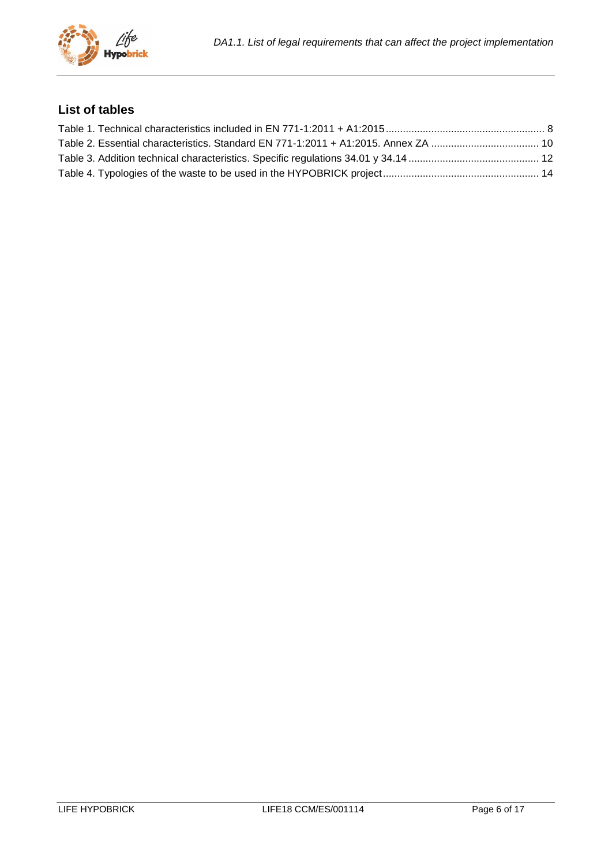

## <span id="page-5-0"></span>**List of tables**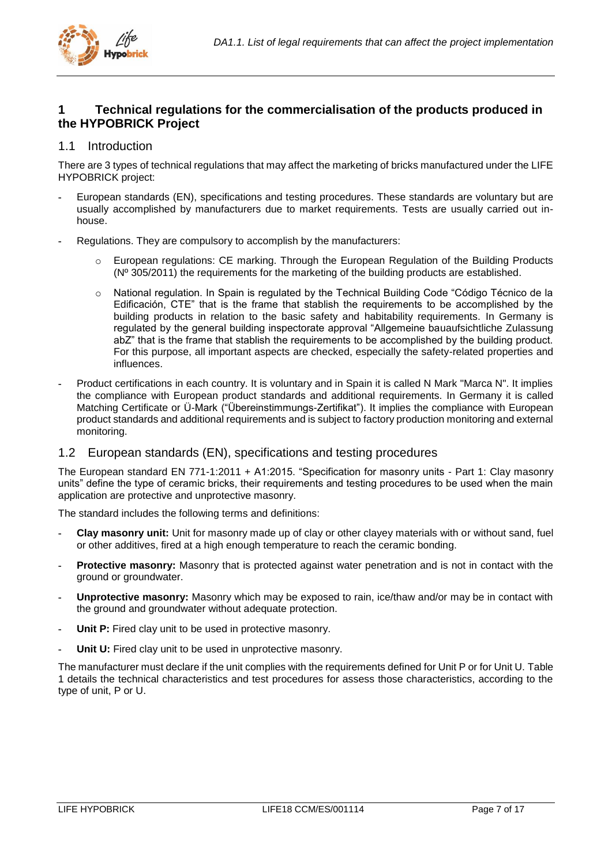

## <span id="page-6-0"></span>**1 Technical regulations for the commercialisation of the products produced in the HYPOBRICK Project**

## <span id="page-6-1"></span>1.1 Introduction

There are 3 types of technical regulations that may affect the marketing of bricks manufactured under the LIFE HYPOBRICK project:

- **-** European standards (EN), specifications and testing procedures. These standards are voluntary but are usually accomplished by manufacturers due to market requirements. Tests are usually carried out inhouse.
- **-** Regulations. They are compulsory to accomplish by the manufacturers:
	- o European regulations: CE marking. Through the European Regulation of the Building Products (Nº 305/2011) the requirements for the marketing of the building products are established.
	- o National regulation. In Spain is regulated by the Technical Building Code "Código Técnico de la Edificación, CTE" that is the frame that stablish the requirements to be accomplished by the building products in relation to the basic safety and habitability requirements. In Germany is regulated by the general building inspectorate approval "Allgemeine bauaufsichtliche Zulassung abZ" that is the frame that stablish the requirements to be accomplished by the building product. For this purpose, all important aspects are checked, especially the safety-related properties and influences.
- **-** Product certifications in each country. It is voluntary and in Spain it is called N Mark "Marca N". It implies the compliance with European product standards and additional requirements. In Germany it is called Matching Certificate or Ü-Mark ("Übereinstimmungs-Zertifikat"). It implies the compliance with European product standards and additional requirements and is subject to factory production monitoring and external monitoring.

## <span id="page-6-2"></span>1.2 European standards (EN), specifications and testing procedures

The European standard EN 771-1:2011 + A1:2015. "Specification for masonry units - Part 1: Clay masonry units" define the type of ceramic bricks, their requirements and testing procedures to be used when the main application are protective and unprotective masonry.

The standard includes the following terms and definitions:

- **- Clay masonry unit:** Unit for masonry made up of clay or other clayey materials with or without sand, fuel or other additives, fired at a high enough temperature to reach the ceramic bonding.
- **- Protective masonry:** Masonry that is protected against water penetration and is not in contact with the ground or groundwater.
- **- Unprotective masonry:** Masonry which may be exposed to rain, ice/thaw and/or may be in contact with the ground and groundwater without adequate protection.
- **Unit P:** Fired clay unit to be used in protective masonry.
- **Unit U:** Fired clay unit to be used in unprotective masonry.

The manufacturer must declare if the unit complies with the requirements defined for Unit P or for Unit U. [Table](#page-7-1)  [1](#page-7-1) details the technical characteristics and test procedures for assess those characteristics, according to the type of unit, P or U.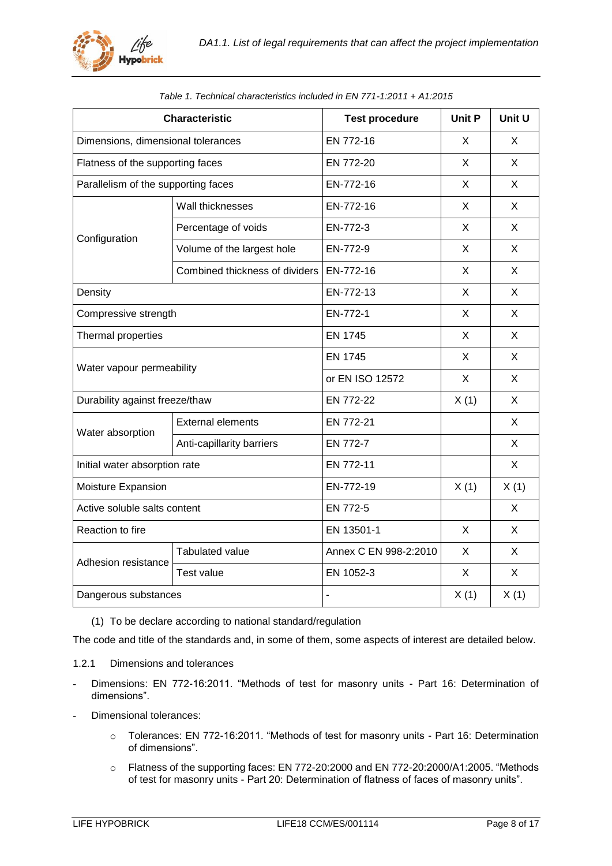

<span id="page-7-1"></span>

| <b>Characteristic</b>               |                                  | <b>Test procedure</b>  | <b>Unit P</b> | Unit U       |
|-------------------------------------|----------------------------------|------------------------|---------------|--------------|
| Dimensions, dimensional tolerances  |                                  | EN 772-16              | X             | X            |
| Flatness of the supporting faces    |                                  | EN 772-20              | X             | X            |
| Parallelism of the supporting faces |                                  | EN-772-16<br>X<br>X    |               |              |
|                                     | Wall thicknesses                 | EN-772-16              | X             | X            |
|                                     | Percentage of voids              | EN-772-3               | X             | X            |
| Configuration                       | Volume of the largest hole       | EN-772-9               | X             | X            |
|                                     | Combined thickness of dividers   | EN-772-16              | X             | X            |
| Density                             |                                  | EN-772-13              | X             | X            |
|                                     | Compressive strength<br>EN-772-1 |                        | X             | X            |
| Thermal properties                  | <b>EN 1745</b>                   |                        | X             | X            |
|                                     |                                  | <b>EN 1745</b>         | X             | X            |
| Water vapour permeability           |                                  | or EN ISO 12572        | X             | X            |
| Durability against freeze/thaw      |                                  | EN 772-22<br>X(1)<br>X |               |              |
| Water absorption                    | <b>External elements</b>         | EN 772-21              |               | X            |
|                                     | Anti-capillarity barriers        | EN 772-7               |               | X            |
| Initial water absorption rate       |                                  | EN 772-11              |               | X            |
| Moisture Expansion                  |                                  | EN-772-19              | X(1)          | X(1)         |
| Active soluble salts content        |                                  | EN 772-5               |               | X            |
| Reaction to fire                    |                                  | EN 13501-1             | $\mathsf{X}$  | $\mathsf{X}$ |
| Adhesion resistance                 | <b>Tabulated value</b>           | Annex C EN 998-2:2010  | X             | X            |
|                                     | Test value                       | EN 1052-3              | X             | X            |
| Dangerous substances                |                                  |                        | X(1)          | X(1)         |

|  | Table 1. Technical characteristics included in EN 771-1:2011 + A1:2015 |  |  |
|--|------------------------------------------------------------------------|--|--|
|  |                                                                        |  |  |

(1) To be declare according to national standard/regulation

The code and title of the standards and, in some of them, some aspects of interest are detailed below.

- <span id="page-7-0"></span>1.2.1 Dimensions and tolerances
- **-** Dimensions: EN 772-16:2011. "Methods of test for masonry units Part 16: Determination of dimensions".
- **-** Dimensional tolerances:
	- o Tolerances: EN 772-16:2011. "Methods of test for masonry units Part 16: Determination of dimensions".
	- o Flatness of the supporting faces: EN 772-20:2000 and EN 772-20:2000/A1:2005. "Methods of test for masonry units - Part 20: Determination of flatness of faces of masonry units".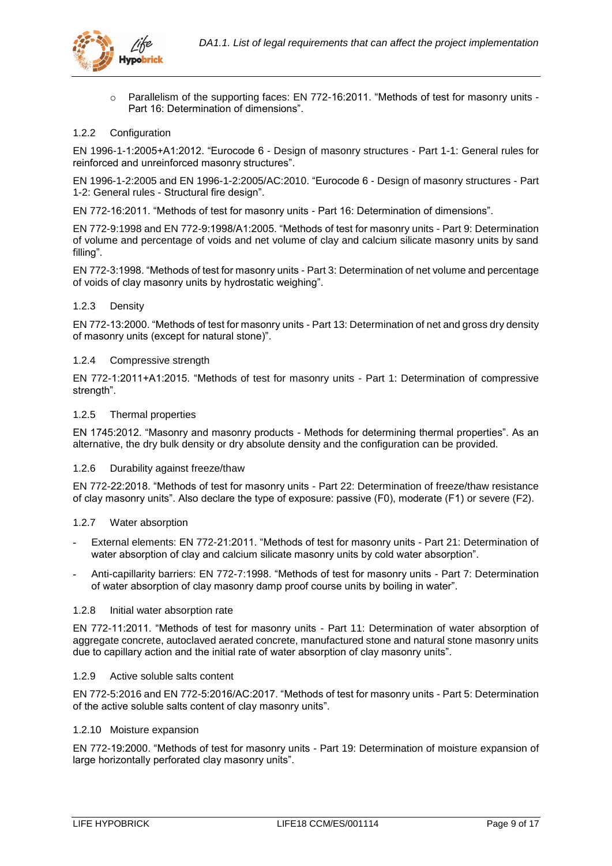

o Parallelism of the supporting faces: EN 772-16:2011. "Methods of test for masonry units - Part 16: Determination of dimensions".

## <span id="page-8-0"></span>1.2.2 Configuration

EN 1996-1-1:2005+A1:2012. "Eurocode 6 - Design of masonry structures - Part 1-1: General rules for reinforced and unreinforced masonry structures".

EN 1996-1-2:2005 and EN 1996-1-2:2005/AC:2010. "Eurocode 6 - Design of masonry structures - Part 1-2: General rules - Structural fire design".

EN 772-16:2011. "Methods of test for masonry units - Part 16: Determination of dimensions".

EN 772-9:1998 and EN 772-9:1998/A1:2005. "Methods of test for masonry units - Part 9: Determination of volume and percentage of voids and net volume of clay and calcium silicate masonry units by sand filling".

EN 772-3:1998. "Methods of test for masonry units - Part 3: Determination of net volume and percentage of voids of clay masonry units by hydrostatic weighing".

## <span id="page-8-1"></span>1.2.3 Density

EN 772-13:2000. "Methods of test for masonry units - Part 13: Determination of net and gross dry density of masonry units (except for natural stone)".

## <span id="page-8-2"></span>1.2.4 Compressive strength

EN 772-1:2011+A1:2015. "Methods of test for masonry units - Part 1: Determination of compressive strength".

## <span id="page-8-3"></span>1.2.5 Thermal properties

EN 1745:2012. "Masonry and masonry products - Methods for determining thermal properties". As an alternative, the dry bulk density or dry absolute density and the configuration can be provided.

## <span id="page-8-4"></span>1.2.6 Durability against freeze/thaw

EN 772-22:2018. "Methods of test for masonry units - Part 22: Determination of freeze/thaw resistance of clay masonry units". Also declare the type of exposure: passive (F0), moderate (F1) or severe (F2).

## <span id="page-8-5"></span>1.2.7 Water absorption

- **-** External elements: EN 772-21:2011. "Methods of test for masonry units Part 21: Determination of water absorption of clay and calcium silicate masonry units by cold water absorption".
- **-** Anti-capillarity barriers: EN 772-7:1998. "Methods of test for masonry units Part 7: Determination of water absorption of clay masonry damp proof course units by boiling in water".

#### <span id="page-8-6"></span>1.2.8 Initial water absorption rate

EN 772-11:2011. "Methods of test for masonry units - Part 11: Determination of water absorption of aggregate concrete, autoclaved aerated concrete, manufactured stone and natural stone masonry units due to capillary action and the initial rate of water absorption of clay masonry units".

#### <span id="page-8-7"></span>1.2.9 Active soluble salts content

EN 772-5:2016 and EN 772-5:2016/AC:2017. "Methods of test for masonry units - Part 5: Determination of the active soluble salts content of clay masonry units".

## <span id="page-8-8"></span>1.2.10 Moisture expansion

EN 772-19:2000. "Methods of test for masonry units - Part 19: Determination of moisture expansion of large horizontally perforated clay masonry units".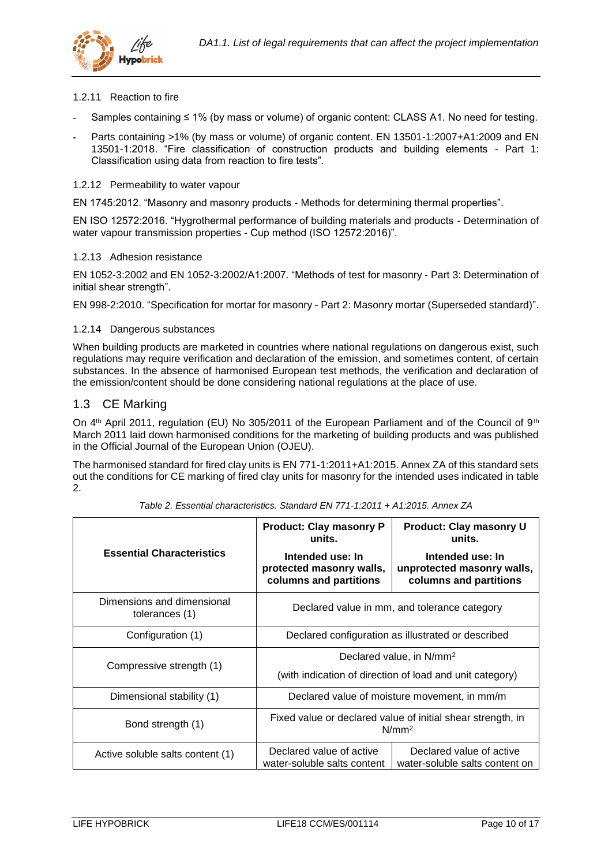

## <span id="page-9-0"></span>1.2.11 Reaction to fire

- **-** Samples containing ≤ 1% (by mass or volume) of organic content: CLASS A1. No need for testing.
- **-** Parts containing >1% (by mass or volume) of organic content. EN 13501-1:2007+A1:2009 and EN 13501-1:2018. "Fire classification of construction products and building elements - Part 1: Classification using data from reaction to fire tests".

## <span id="page-9-1"></span>1.2.12 Permeability to water vapour

EN 1745:2012. "Masonry and masonry products - Methods for determining thermal properties".

EN ISO 12572:2016. "Hygrothermal performance of building materials and products - Determination of water vapour transmission properties - Cup method (ISO 12572:2016)".

## <span id="page-9-2"></span>1.2.13 Adhesion resistance

EN 1052-3:2002 and EN 1052-3:2002/A1:2007. "Methods of test for masonry - Part 3: Determination of initial shear strength".

EN 998-2:2010. "Specification for mortar for masonry - Part 2: Masonry mortar (Superseded standard)".

## <span id="page-9-3"></span>1.2.14 Dangerous substances

When building products are marketed in countries where national regulations on dangerous exist, such regulations may require verification and declaration of the emission, and sometimes content, of certain substances. In the absence of harmonised European test methods, the verification and declaration of the emission/content should be done considering national regulations at the place of use.

## <span id="page-9-4"></span>1.3 CE Marking

On 4<sup>th</sup> April 2011, regulation (EU) No 305/2011 of the European Parliament and of the Council of 9<sup>th</sup> March 2011 laid down harmonised conditions for the marketing of building products and was published in the Official Journal of the European Union (OJEU).

The harmonised standard for fired clay units is EN 771-1:2011+A1:2015. Annex ZA of this standard sets out the conditions for CE marking of fired clay units for masonry for the intended uses indicated in [table](#page-9-5)  [2.](#page-9-5)

<span id="page-9-5"></span>

|                                              | <b>Product: Clay masonry P</b><br>units.                                         | Product: Clay masonry U<br>units.                                        |  |
|----------------------------------------------|----------------------------------------------------------------------------------|--------------------------------------------------------------------------|--|
| <b>Essential Characteristics</b>             | Intended use: In<br>protected masonry walls,<br>columns and partitions           | Intended use: In<br>unprotected masonry walls,<br>columns and partitions |  |
| Dimensions and dimensional<br>tolerances (1) | Declared value in mm, and tolerance category                                     |                                                                          |  |
| Configuration (1)                            | Declared configuration as illustrated or described                               |                                                                          |  |
| Compressive strength (1)                     | Declared value, in N/mm <sup>2</sup>                                             |                                                                          |  |
|                                              | (with indication of direction of load and unit category)                         |                                                                          |  |
| Dimensional stability (1)                    |                                                                                  | Declared value of moisture movement, in mm/m                             |  |
| Bond strength (1)                            | Fixed value or declared value of initial shear strength, in<br>N/mm <sup>2</sup> |                                                                          |  |
| Active soluble salts content (1)             | Declared value of active<br>water-soluble salts content                          | Declared value of active<br>water-soluble salts content on               |  |

*Table 2. Essential characteristics. Standard EN 771-1:2011 + A1:2015. Annex ZA*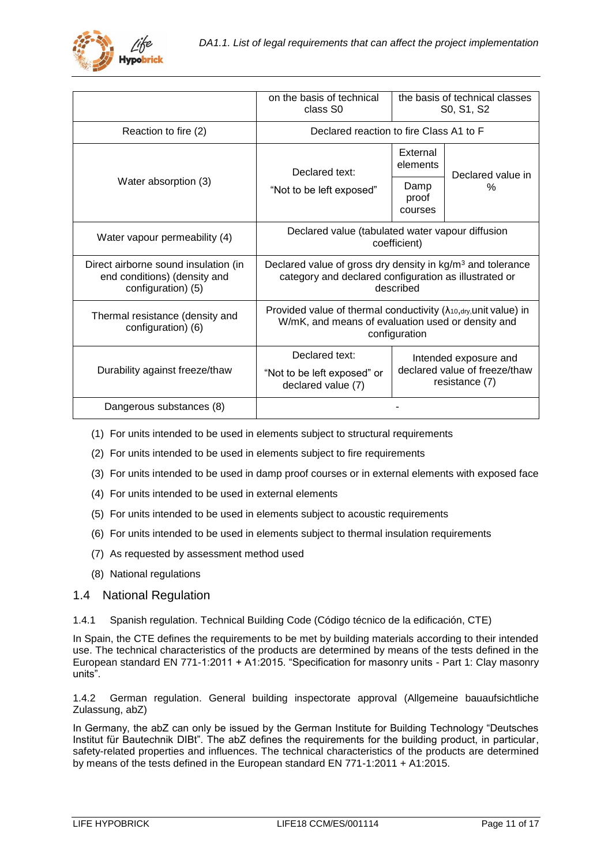

|                                                                                            | on the basis of technical<br>class S <sub>0</sub> | the basis of technical classes<br>S0, S1, S2                                                                                                      |                   |  |
|--------------------------------------------------------------------------------------------|---------------------------------------------------|---------------------------------------------------------------------------------------------------------------------------------------------------|-------------------|--|
| Reaction to fire (2)                                                                       | Declared reaction to fire Class A1 to F           |                                                                                                                                                   |                   |  |
|                                                                                            | Declared text:                                    | External<br>elements                                                                                                                              | Declared value in |  |
| Water absorption (3)                                                                       | "Not to be left exposed"<br>courses               |                                                                                                                                                   | %                 |  |
| Water vapour permeability (4)                                                              |                                                   | Declared value (tabulated water vapour diffusion<br>coefficient)                                                                                  |                   |  |
| Direct airborne sound insulation (in<br>end conditions) (density and<br>configuration) (5) |                                                   | Declared value of gross dry density in kg/m <sup>3</sup> and tolerance<br>category and declared configuration as illustrated or<br>described      |                   |  |
| Thermal resistance (density and<br>configuration) (6)                                      |                                                   | Provided value of thermal conductivity $(\lambda_{10, dry, unit}$ value) in<br>W/mK, and means of evaluation used or density and<br>configuration |                   |  |
|                                                                                            | Declared text:<br>Intended exposure and           |                                                                                                                                                   |                   |  |
| Durability against freeze/thaw                                                             | "Not to be left exposed" or<br>declared value (7) | declared value of freeze/thaw<br>resistance (7)                                                                                                   |                   |  |
| Dangerous substances (8)                                                                   |                                                   |                                                                                                                                                   |                   |  |

- (1) For units intended to be used in elements subject to structural requirements
- (2) For units intended to be used in elements subject to fire requirements
- (3) For units intended to be used in damp proof courses or in external elements with exposed face
- (4) For units intended to be used in external elements
- (5) For units intended to be used in elements subject to acoustic requirements
- (6) For units intended to be used in elements subject to thermal insulation requirements
- (7) As requested by assessment method used
- (8) National regulations

## <span id="page-10-0"></span>1.4 National Regulation

<span id="page-10-1"></span>1.4.1 Spanish regulation. Technical Building Code (Código técnico de la edificación, CTE)

In Spain, the CTE defines the requirements to be met by building materials according to their intended use. The technical characteristics of the products are determined by means of the tests defined in the European standard EN 771-1:2011 + A1:2015. "Specification for masonry units - Part 1: Clay masonry units".

## <span id="page-10-2"></span>1.4.2 German regulation. General building inspectorate approval (Allgemeine bauaufsichtliche Zulassung, abZ)

In Germany, the abZ can only be issued by the German Institute for Building Technology "Deutsches Institut für Bautechnik DIBt". The abZ defines the requirements for the building product, in particular, safety-related properties and influences. The technical characteristics of the products are determined by means of the tests defined in the European standard EN 771-1:2011 + A1:2015.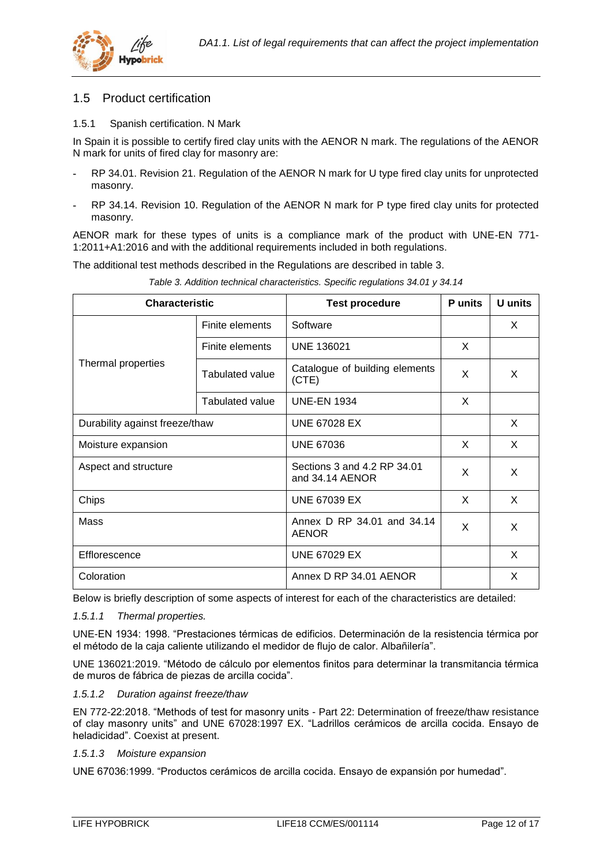

## <span id="page-11-0"></span>1.5 Product certification

## <span id="page-11-1"></span>1.5.1 Spanish certification. N Mark

In Spain it is possible to certify fired clay units with the AENOR N mark. The regulations of the AENOR N mark for units of fired clay for masonry are:

- **-** RP 34.01. Revision 21. Regulation of the AENOR N mark for U type fired clay units for unprotected masonry.
- **-** RP 34.14. Revision 10. Regulation of the AENOR N mark for P type fired clay units for protected masonry.

AENOR mark for these types of units is a compliance mark of the product with UNE-EN 771- 1:2011+A1:2016 and with the additional requirements included in both regulations.

The additional test methods described in the Regulations are described in [table 3.](#page-11-2)

<span id="page-11-2"></span>

| <b>Characteristic</b>                |                                | <b>Test procedure</b>                          | <b>P</b> units | U units |
|--------------------------------------|--------------------------------|------------------------------------------------|----------------|---------|
|                                      | Finite elements                | Software                                       |                | X       |
|                                      | Finite elements                | <b>UNE 136021</b>                              | X              |         |
| Thermal properties                   | <b>Tabulated value</b>         | Catalogue of building elements<br>(CTE)        | X              | X       |
|                                      | Tabulated value                | <b>UNE-EN 1934</b>                             | X              |         |
|                                      | Durability against freeze/thaw |                                                |                | X       |
| Moisture expansion                   |                                | <b>UNE 67036</b>                               | X              | X       |
| Aspect and structure                 |                                | Sections 3 and 4.2 RP 34.01<br>and 34.14 AENOR | X              | X       |
| Chips                                |                                | <b>UNE 67039 EX</b>                            | X              | X       |
| Mass                                 |                                | Annex D RP 34.01 and 34.14<br><b>AENOR</b>     | X              | X       |
| Efflorescence                        |                                | <b>UNE 67029 EX</b>                            |                | X       |
| Coloration<br>Annex D RP 34.01 AENOR |                                |                                                | X              |         |

*Table 3. Addition technical characteristics. Specific regulations 34.01 y 34.14*

Below is briefly description of some aspects of interest for each of the characteristics are detailed:

*1.5.1.1 Thermal properties.*

UNE-EN 1934: 1998. "Prestaciones térmicas de edificios. Determinación de la resistencia térmica por el método de la caja caliente utilizando el medidor de flujo de calor. Albañilería".

UNE 136021:2019. "Método de cálculo por elementos finitos para determinar la transmitancia térmica de muros de fábrica de piezas de arcilla cocida".

## *1.5.1.2 Duration against freeze/thaw*

EN 772-22:2018. "Methods of test for masonry units - Part 22: Determination of freeze/thaw resistance of clay masonry units" and UNE 67028:1997 EX. "Ladrillos cerámicos de arcilla cocida. Ensayo de heladicidad". Coexist at present.

## *1.5.1.3 Moisture expansion*

UNE 67036:1999. "Productos cerámicos de arcilla cocida. Ensayo de expansión por humedad".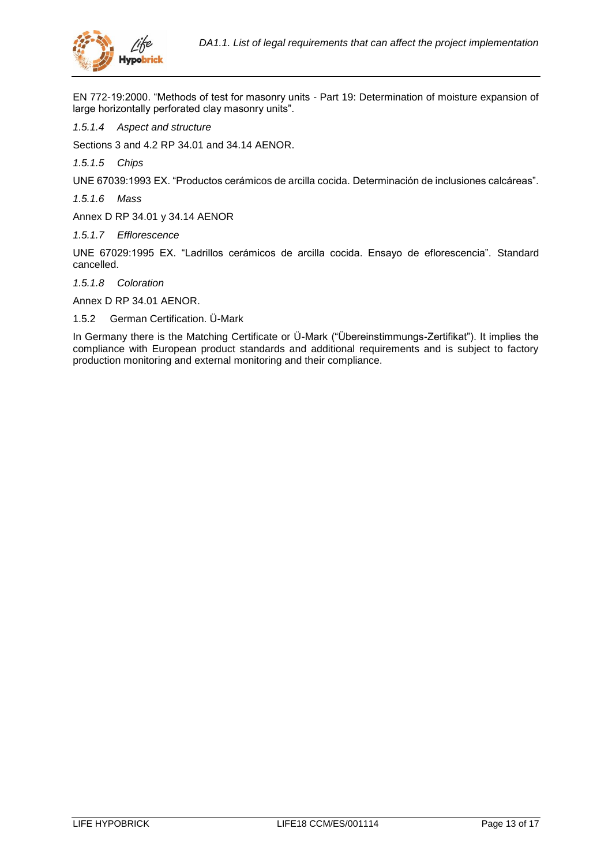

EN 772-19:2000. "Methods of test for masonry units - Part 19: Determination of moisture expansion of large horizontally perforated clay masonry units".

*1.5.1.4 Aspect and structure*

Sections 3 and 4.2 RP 34.01 and 34.14 AENOR.

*1.5.1.5 Chips*

UNE 67039:1993 EX. "Productos cerámicos de arcilla cocida. Determinación de inclusiones calcáreas".

*1.5.1.6 Mass*

Annex D RP 34.01 y 34.14 AENOR

*1.5.1.7 Efflorescence*

UNE 67029:1995 EX. "Ladrillos cerámicos de arcilla cocida. Ensayo de eflorescencia". Standard cancelled.

*1.5.1.8 Coloration*

Annex D RP 34.01 AENOR.

<span id="page-12-0"></span>1.5.2 German Certification. Ü-Mark

In Germany there is the Matching Certificate or Ü-Mark ("Übereinstimmungs-Zertifikat"). It implies the compliance with European product standards and additional requirements and is subject to factory production monitoring and external monitoring and their compliance.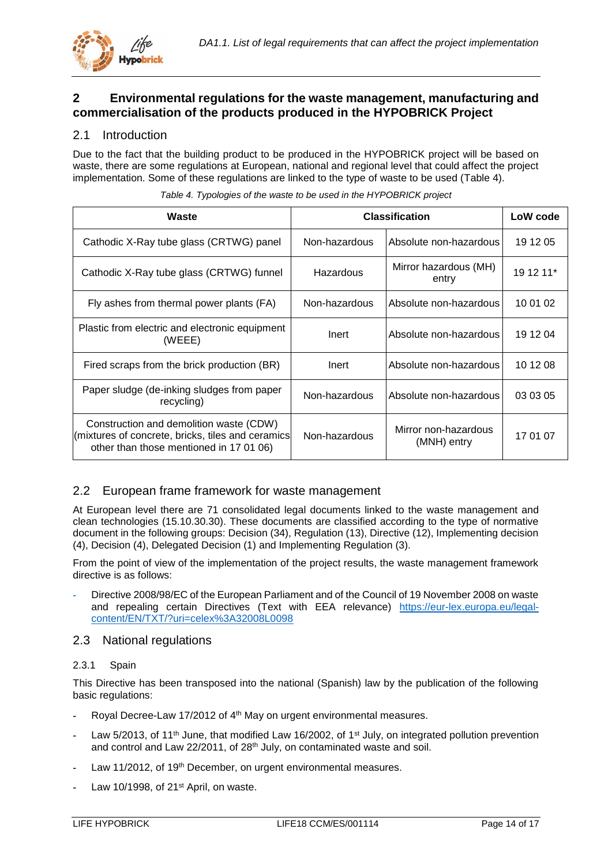

## <span id="page-13-0"></span>**2 Environmental regulations for the waste management, manufacturing and commercialisation of the products produced in the HYPOBRICK Project**

## <span id="page-13-1"></span>2.1 Introduction

Due to the fact that the building product to be produced in the HYPOBRICK project will be based on waste, there are some regulations at European, national and regional level that could affect the project implementation. Some of these regulations are linked to the type of waste to be used [\(Table 4\)](#page-13-5).

<span id="page-13-5"></span>

| Waste                                                                                                                                   |               | <b>Classification</b>               | LoW code  |
|-----------------------------------------------------------------------------------------------------------------------------------------|---------------|-------------------------------------|-----------|
| Cathodic X-Ray tube glass (CRTWG) panel                                                                                                 | Non-hazardous | Absolute non-hazardous              | 19 12 05  |
| Cathodic X-Ray tube glass (CRTWG) funnel                                                                                                | Hazardous     | Mirror hazardous (MH)<br>entry      | 19 12 11* |
| Fly ashes from thermal power plants (FA)                                                                                                | Non-hazardous | Absolute non-hazardous              | 10 01 02  |
| Plastic from electric and electronic equipment<br>(WEEE)                                                                                | Inert         | Absolute non-hazardous              | 19 12 04  |
| Fired scraps from the brick production (BR)                                                                                             | Inert         | Absolute non-hazardous              | 10 12 08  |
| Paper sludge (de-inking sludges from paper<br>recycling)                                                                                | Non-hazardous | Absolute non-hazardous              | 03 03 05  |
| Construction and demolition waste (CDW)<br>(mixtures of concrete, bricks, tiles and ceramics<br>other than those mentioned in 17 01 06) | Non-hazardous | Mirror non-hazardous<br>(MNH) entry | 17 01 07  |

|  |  |  | Table 4. Typologies of the waste to be used in the HYPOBRICK project |
|--|--|--|----------------------------------------------------------------------|
|--|--|--|----------------------------------------------------------------------|

## <span id="page-13-2"></span>2.2 European frame framework for waste management

At European level there are 71 consolidated legal documents linked to the waste management and clean technologies (15.10.30.30). These documents are classified according to the type of normative document in the following groups: Decision (34), Regulation (13), Directive (12), Implementing decision (4), Decision (4), Delegated Decision (1) and Implementing Regulation (3).

From the point of view of the implementation of the project results, the waste management framework directive is as follows:

**-** Directive 2008/98/EC of the European Parliament and of the Council of 19 November 2008 on waste and repealing certain Directives (Text with EEA relevance) [https://eur-lex.europa.eu/legal](https://eur-lex.europa.eu/legal-content/EN/TXT/?uri=celex%3A32008L0098)[content/EN/TXT/?uri=celex%3A32008L0098](https://eur-lex.europa.eu/legal-content/EN/TXT/?uri=celex%3A32008L0098)

## <span id="page-13-3"></span>2.3 National regulations

## <span id="page-13-4"></span>2.3.1 Spain

This Directive has been transposed into the national (Spanish) law by the publication of the following basic regulations:

- **-** Royal Decree-Law 17/2012 of 4th May on urgent environmental measures.
- **-** Law 5/2013, of 11th June, that modified Law 16/2002, of 1st July, on integrated pollution prevention and control and Law 22/2011, of 28<sup>th</sup> July, on contaminated waste and soil.
- Law 11/2012, of 19<sup>th</sup> December, on urgent environmental measures.
- Law 10/1998, of 21<sup>st</sup> April, on waste.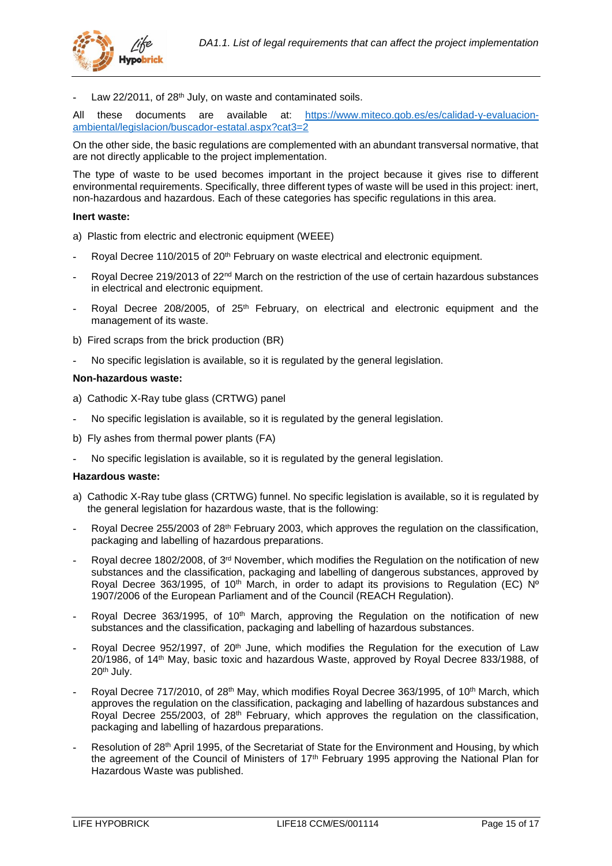

Law 22/2011, of 28<sup>th</sup> July, on waste and contaminated soils.

All these documents are available at: [https://www.miteco.gob.es/es/calidad-y-evaluacion](https://www.miteco.gob.es/es/calidad-y-evaluacion-ambiental/legislacion/buscador-estatal.aspx?cat3=2)[ambiental/legislacion/buscador-estatal.aspx?cat3=2](https://www.miteco.gob.es/es/calidad-y-evaluacion-ambiental/legislacion/buscador-estatal.aspx?cat3=2)

On the other side, the basic regulations are complemented with an abundant transversal normative, that are not directly applicable to the project implementation.

The type of waste to be used becomes important in the project because it gives rise to different environmental requirements. Specifically, three different types of waste will be used in this project: inert, non-hazardous and hazardous. Each of these categories has specific regulations in this area.

## **Inert waste:**

- a) Plastic from electric and electronic equipment (WEEE)
- **-** Royal Decree 110/2015 of 20th February on waste electrical and electronic equipment.
- **-** Royal Decree 219/2013 of 22nd March on the restriction of the use of certain hazardous substances in electrical and electronic equipment.
- **-** Royal Decree 208/2005, of 25th February, on electrical and electronic equipment and the management of its waste.
- b) Fired scraps from the brick production (BR)
- **-** No specific legislation is available, so it is regulated by the general legislation.

#### **Non-hazardous waste:**

- a) Cathodic X-Ray tube glass (CRTWG) panel
- **-** No specific legislation is available, so it is regulated by the general legislation.
- b) Fly ashes from thermal power plants (FA)
- **-** No specific legislation is available, so it is regulated by the general legislation.

## **Hazardous waste:**

- a) Cathodic X-Ray tube glass (CRTWG) funnel. No specific legislation is available, so it is regulated by the general legislation for hazardous waste, that is the following:
- **-** Royal Decree 255/2003 of 28th February 2003, which approves the regulation on the classification, packaging and labelling of hazardous preparations.
- **-** Royal decree 1802/2008, of 3<sup>rd</sup> November, which modifies the Regulation on the notification of new substances and the classification, packaging and labelling of dangerous substances, approved by Royal Decree 363/1995, of 10<sup>th</sup> March, in order to adapt its provisions to Regulation (EC) Nº 1907/2006 of the European Parliament and of the Council (REACH Regulation).
- Royal Decree 363/1995, of 10<sup>th</sup> March, approving the Regulation on the notification of new substances and the classification, packaging and labelling of hazardous substances.
- **-** Royal Decree 952/1997, of 20th June, which modifies the Regulation for the execution of Law 20/1986, of 14th May, basic toxic and hazardous Waste, approved by Royal Decree 833/1988, of 20th July.
- **-** Royal Decree 717/2010, of 28th May, which modifies Royal Decree 363/1995, of 10th March, which approves the regulation on the classification, packaging and labelling of hazardous substances and  $R$ oyal Decree 255/2003, of 28<sup>th</sup> February, which approves the regulation on the classification, packaging and labelling of hazardous preparations.
- **-** Resolution of 28th April 1995, of the Secretariat of State for the Environment and Housing, by which the agreement of the Council of Ministers of 17th February 1995 approving the National Plan for Hazardous Waste was published.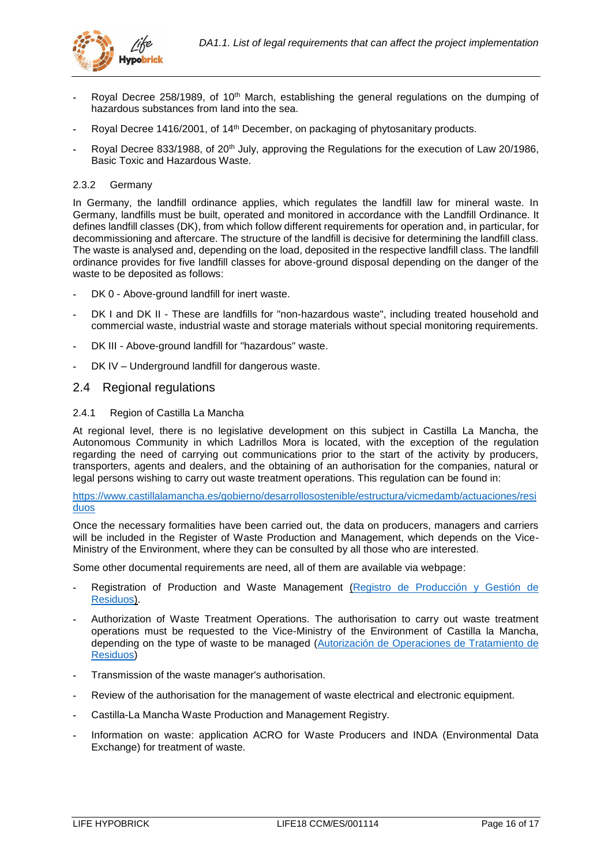

- **-** Royal Decree 258/1989, of 10th March, establishing the general regulations on the dumping of hazardous substances from land into the sea.
- Royal Decree 1416/2001, of 14<sup>th</sup> December, on packaging of phytosanitary products.
- **-** Royal Decree 833/1988, of 20th July, approving the Regulations for the execution of Law 20/1986, Basic Toxic and Hazardous Waste.

## <span id="page-15-0"></span>2.3.2 Germany

In Germany, the landfill ordinance applies, which regulates the landfill law for mineral waste. In Germany, landfills must be built, operated and monitored in accordance with the Landfill Ordinance. It defines landfill classes (DK), from which follow different requirements for operation and, in particular, for decommissioning and aftercare. The structure of the landfill is decisive for determining the landfill class. The waste is analysed and, depending on the load, deposited in the respective landfill class. The landfill ordinance provides for five landfill classes for above-ground disposal depending on the danger of the waste to be deposited as follows:

- DK 0 Above-ground landfill for inert waste.
- DK I and DK II These are landfills for "non-hazardous waste", including treated household and commercial waste, industrial waste and storage materials without special monitoring requirements.
- **-** DK III Above-ground landfill for "hazardous" waste.
- **-** DK IV Underground landfill for dangerous waste.

## <span id="page-15-1"></span>2.4 Regional regulations

## <span id="page-15-2"></span>2.4.1 Region of Castilla La Mancha

At regional level, there is no legislative development on this subject in Castilla La Mancha, the Autonomous Community in which Ladrillos Mora is located, with the exception of the regulation regarding the need of carrying out communications prior to the start of the activity by producers, transporters, agents and dealers, and the obtaining of an authorisation for the companies, natural or legal persons wishing to carry out waste treatment operations. This regulation can be found in:

[https://www.castillalamancha.es/gobierno/desarrollosostenible/estructura/vicmedamb/actuaciones/resi](https://www.castillalamancha.es/gobierno/desarrollosostenible/estructura/vicmedamb/actuaciones/residuos) [duos](https://www.castillalamancha.es/gobierno/desarrollosostenible/estructura/vicmedamb/actuaciones/residuos)

Once the necessary formalities have been carried out, the data on producers, managers and carriers will be included in the Register of Waste Production and Management, which depends on the Vice-Ministry of the Environment, where they can be consulted by all those who are interested.

Some other documental requirements are need, all of them are available via webpage:

- **-** Registration of Production and Waste Management [\(Registro de Producción y Gestión de](http://agricultura.jccm.es/ireno/forms/geref000.htm)  [Residuos\)](http://agricultura.jccm.es/ireno/forms/geref000.htm).
- **-** Authorization of Waste Treatment Operations. The authorisation to carry out waste treatment operations must be requested to the Vice-Ministry of the Environment of Castilla la Mancha, depending on the type of waste to be managed [\(Autorización de Operaciones de Tratamiento de](https://www.castillalamancha.es/gobierno/desarrollosostenible/estructura/vicmedamb/actuaciones/autorizaci%C3%B3n-de-operaciones-de-tratamiento-de-residuos)  [Residuos\)](https://www.castillalamancha.es/gobierno/desarrollosostenible/estructura/vicmedamb/actuaciones/autorizaci%C3%B3n-de-operaciones-de-tratamiento-de-residuos)
- **-** Transmission of the waste manager's authorisation.
- **-** Review of the authorisation for the management of waste electrical and electronic equipment.
- **-** Castilla-La Mancha Waste Production and Management Registry.
- **-** Information on waste: application ACRO for Waste Producers and INDA (Environmental Data Exchange) for treatment of waste.